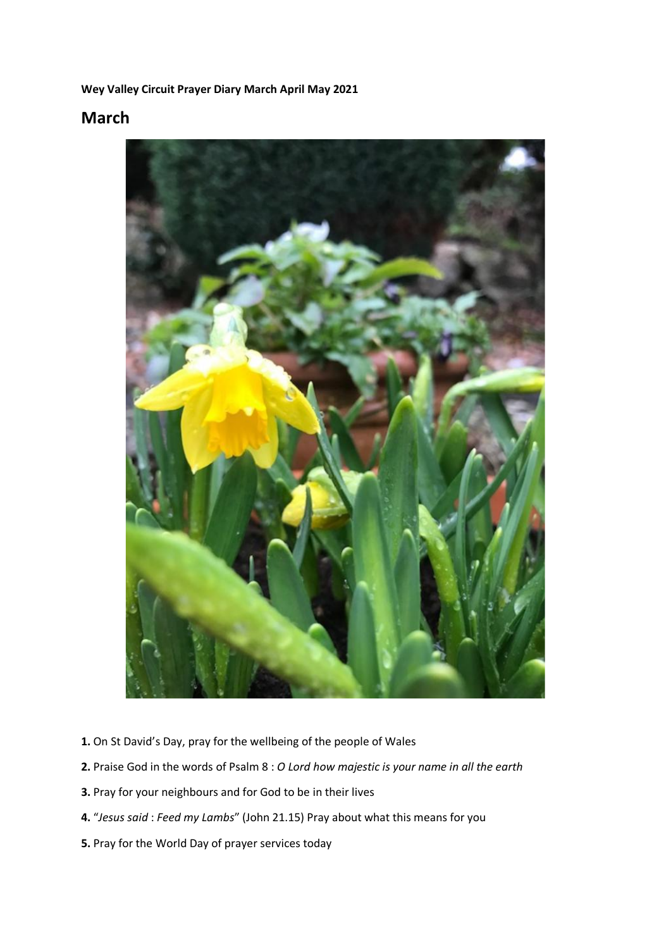#### **Wey Valley Circuit Prayer Diary March April May 2021**

### **March**



- **1.** On St David's Day, pray for the wellbeing of the people of Wales
- **2.** Praise God in the words of Psalm 8 : *O Lord how majestic is your name in all the earth*
- **3.** Pray for your neighbours and for God to be in their lives
- **4.** "*Jesus said* : *Feed my Lambs*" (John 21.15) Pray about what this means for you
- **5.** Pray for the World Day of prayer services today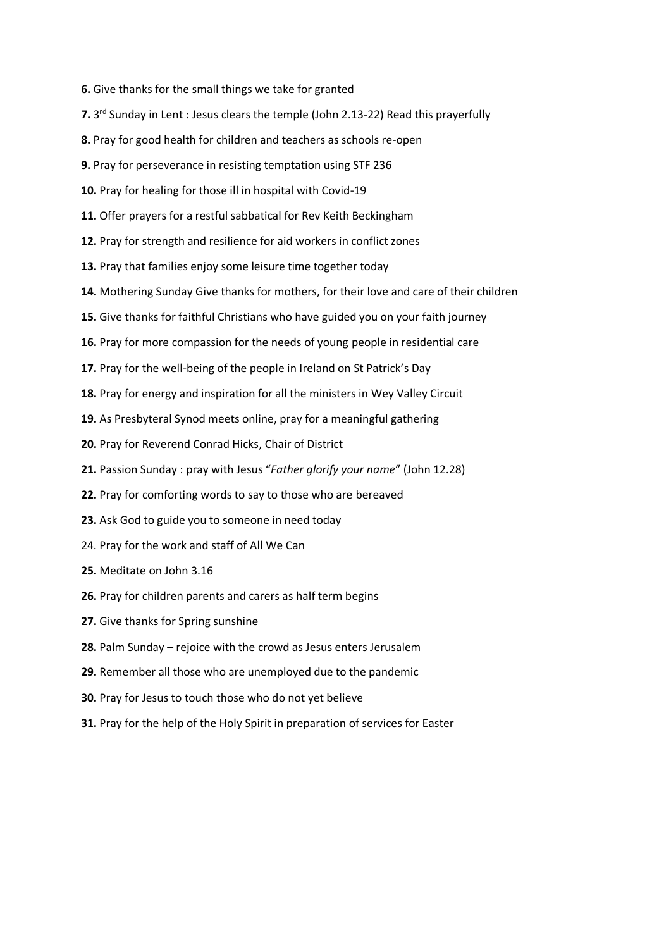- **6.** Give thanks for the small things we take for granted
- **7.** 3 rd Sunday in Lent : Jesus clears the temple (John 2.13-22) Read this prayerfully
- **8.** Pray for good health for children and teachers as schools re-open
- **9.** Pray for perseverance in resisting temptation using STF 236
- **10.** Pray for healing for those ill in hospital with Covid-19
- **11.** Offer prayers for a restful sabbatical for Rev Keith Beckingham
- **12.** Pray for strength and resilience for aid workers in conflict zones
- **13.** Pray that families enjoy some leisure time together today
- **14.** Mothering Sunday Give thanks for mothers, for their love and care of their children
- **15.** Give thanks for faithful Christians who have guided you on your faith journey
- **16.** Pray for more compassion for the needs of young people in residential care
- **17.** Pray for the well-being of the people in Ireland on St Patrick's Day
- **18.** Pray for energy and inspiration for all the ministers in Wey Valley Circuit
- **19.** As Presbyteral Synod meets online, pray for a meaningful gathering
- **20.** Pray for Reverend Conrad Hicks, Chair of District
- **21.** Passion Sunday : pray with Jesus "*Father glorify your name*" (John 12.28)
- **22.** Pray for comforting words to say to those who are bereaved
- **23.** Ask God to guide you to someone in need today
- 24. Pray for the work and staff of All We Can
- **25.** Meditate on John 3.16
- **26.** Pray for children parents and carers as half term begins
- **27.** Give thanks for Spring sunshine
- **28.** Palm Sunday rejoice with the crowd as Jesus enters Jerusalem
- **29.** Remember all those who are unemployed due to the pandemic
- **30.** Pray for Jesus to touch those who do not yet believe
- **31.** Pray for the help of the Holy Spirit in preparation of services for Easter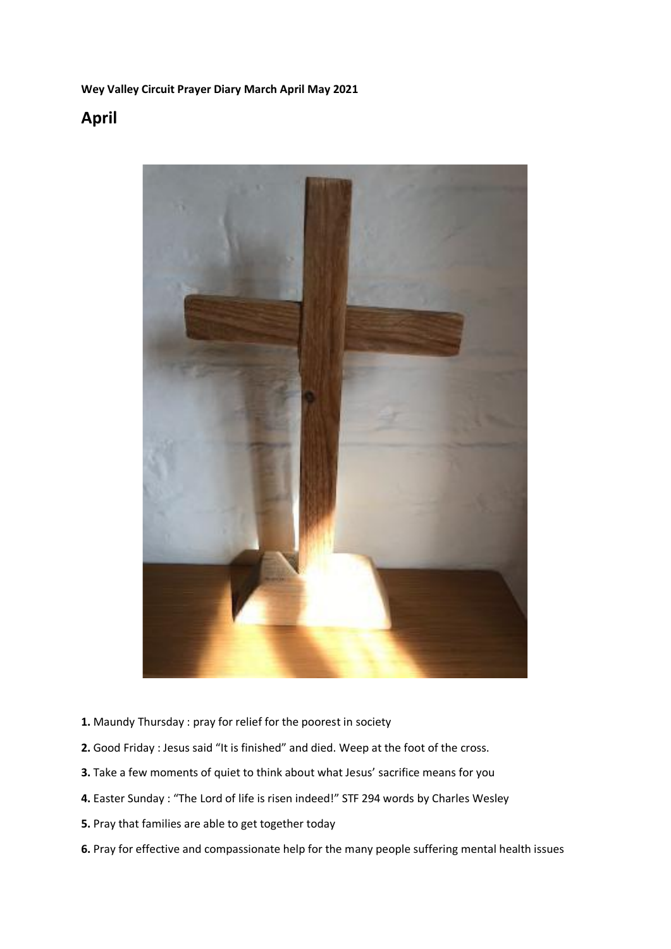#### **Wey Valley Circuit Prayer Diary March April May 2021**

## **April**



- **1.** Maundy Thursday : pray for relief for the poorest in society
- **2.** Good Friday : Jesus said "It is finished" and died. Weep at the foot of the cross.
- **3.** Take a few moments of quiet to think about what Jesus' sacrifice means for you
- **4.** Easter Sunday : "The Lord of life is risen indeed!" STF 294 words by Charles Wesley
- **5.** Pray that families are able to get together today
- **6.** Pray for effective and compassionate help for the many people suffering mental health issues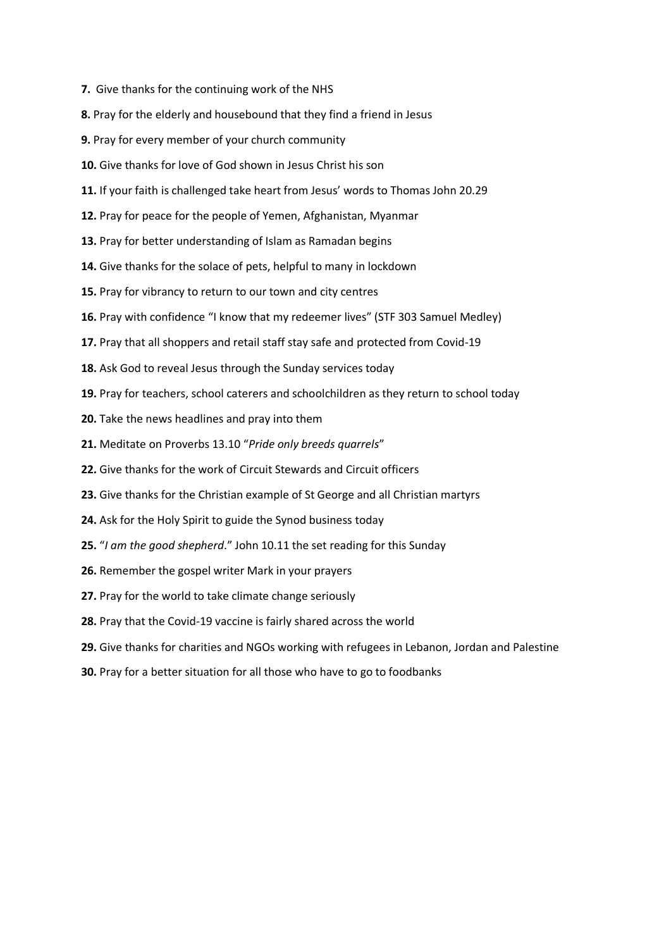- **7.** Give thanks for the continuing work of the NHS
- **8.** Pray for the elderly and housebound that they find a friend in Jesus
- **9.** Pray for every member of your church community
- **10.** Give thanks for love of God shown in Jesus Christ his son
- **11.** If your faith is challenged take heart from Jesus' words to Thomas John 20.29
- **12.** Pray for peace for the people of Yemen, Afghanistan, Myanmar
- **13.** Pray for better understanding of Islam as Ramadan begins
- **14.** Give thanks for the solace of pets, helpful to many in lockdown
- **15.** Pray for vibrancy to return to our town and city centres
- **16.** Pray with confidence "I know that my redeemer lives" (STF 303 Samuel Medley)
- **17.** Pray that all shoppers and retail staff stay safe and protected from Covid-19
- **18.** Ask God to reveal Jesus through the Sunday services today
- **19.** Pray for teachers, school caterers and schoolchildren as they return to school today
- **20.** Take the news headlines and pray into them
- **21.** Meditate on Proverbs 13.10 "*Pride only breeds quarrels*"
- **22.** Give thanks for the work of Circuit Stewards and Circuit officers
- **23.** Give thanks for the Christian example of St George and all Christian martyrs
- **24.** Ask for the Holy Spirit to guide the Synod business today
- **25.** "*I am the good shepherd*." John 10.11 the set reading for this Sunday
- **26.** Remember the gospel writer Mark in your prayers
- **27.** Pray for the world to take climate change seriously
- **28.** Pray that the Covid-19 vaccine is fairly shared across the world
- **29.** Give thanks for charities and NGOs working with refugees in Lebanon, Jordan and Palestine
- **30.** Pray for a better situation for all those who have to go to foodbanks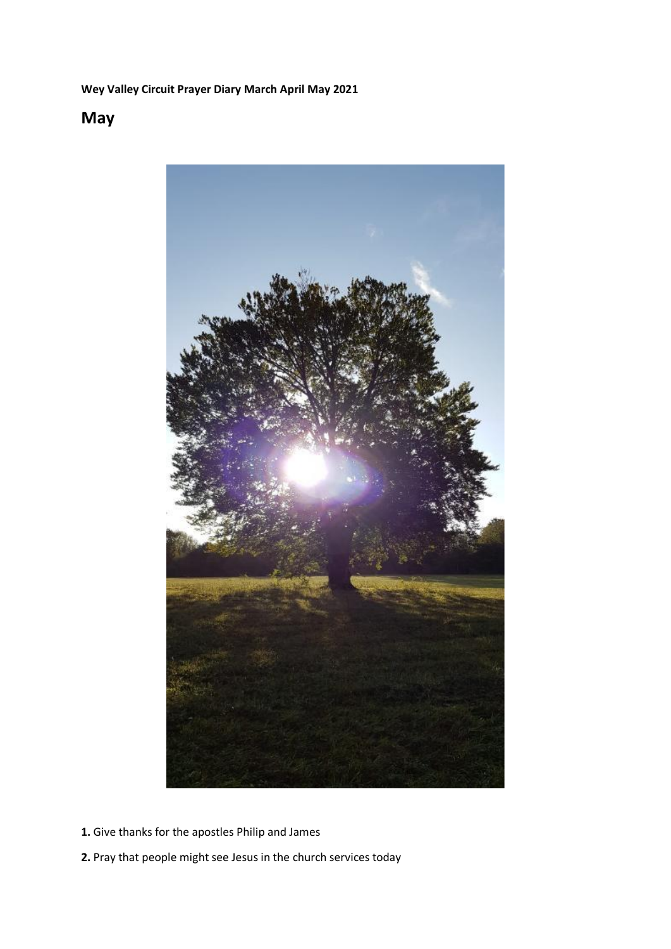### **Wey Valley Circuit Prayer Diary March April May 2021**

# **May**



- **1.** Give thanks for the apostles Philip and James
- **2.** Pray that people might see Jesus in the church services today